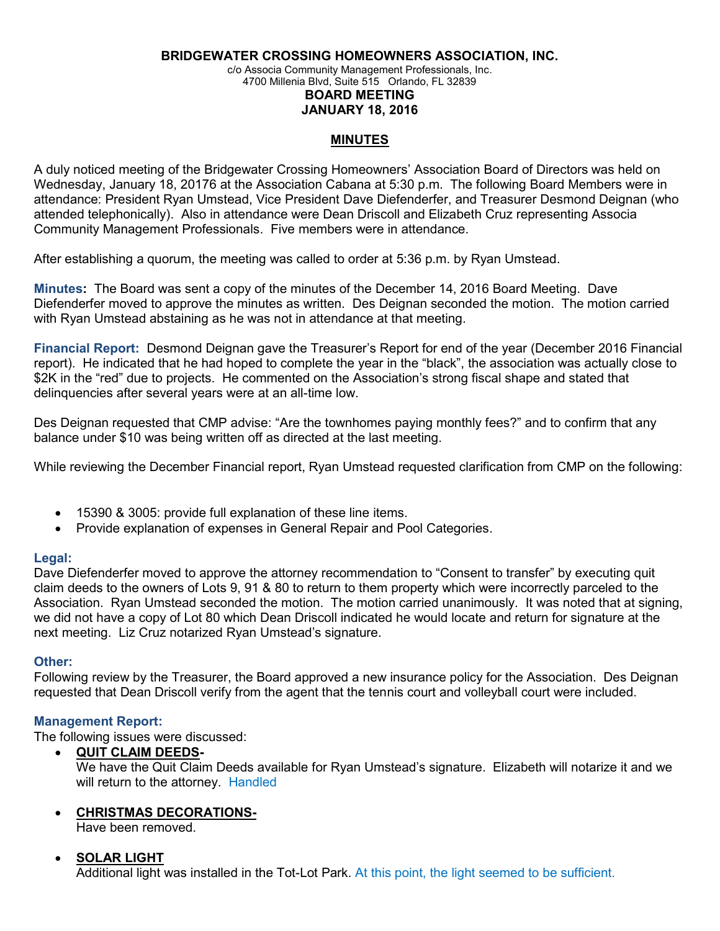**BRIDGEWATER CROSSING HOMEOWNERS ASSOCIATION, INC.**

c/o Associa Community Management Professionals, Inc.

4700 Millenia Blvd, Suite 515 Orlando, FL 32839

# **BOARD MEETING**

**JANUARY 18, 2016**

### **MINUTES**

A duly noticed meeting of the Bridgewater Crossing Homeowners' Association Board of Directors was held on Wednesday, January 18, 20176 at the Association Cabana at 5:30 p.m. The following Board Members were in attendance: President Ryan Umstead, Vice President Dave Diefenderfer, and Treasurer Desmond Deignan (who attended telephonically). Also in attendance were Dean Driscoll and Elizabeth Cruz representing Associa Community Management Professionals. Five members were in attendance.

After establishing a quorum, the meeting was called to order at 5:36 p.m. by Ryan Umstead.

**Minutes:** The Board was sent a copy of the minutes of the December 14, 2016 Board Meeting. Dave Diefenderfer moved to approve the minutes as written. Des Deignan seconded the motion. The motion carried with Ryan Umstead abstaining as he was not in attendance at that meeting.

**Financial Report:** Desmond Deignan gave the Treasurer's Report for end of the year (December 2016 Financial report). He indicated that he had hoped to complete the year in the "black", the association was actually close to \$2K in the "red" due to projects. He commented on the Association's strong fiscal shape and stated that delinquencies after several years were at an all-time low.

Des Deignan requested that CMP advise: "Are the townhomes paying monthly fees?" and to confirm that any balance under \$10 was being written off as directed at the last meeting.

While reviewing the December Financial report, Ryan Umstead requested clarification from CMP on the following:

- 15390 & 3005: provide full explanation of these line items.
- Provide explanation of expenses in General Repair and Pool Categories.

### **Legal:**

Dave Diefenderfer moved to approve the attorney recommendation to "Consent to transfer" by executing quit claim deeds to the owners of Lots 9, 91 & 80 to return to them property which were incorrectly parceled to the Association. Ryan Umstead seconded the motion. The motion carried unanimously. It was noted that at signing, we did not have a copy of Lot 80 which Dean Driscoll indicated he would locate and return for signature at the next meeting. Liz Cruz notarized Ryan Umstead's signature.

### **Other:**

Following review by the Treasurer, the Board approved a new insurance policy for the Association. Des Deignan requested that Dean Driscoll verify from the agent that the tennis court and volleyball court were included.

### **Management Report:**

The following issues were discussed:

- **QUIT CLAIM DEEDS-**We have the Quit Claim Deeds available for Ryan Umstead's signature. Elizabeth will notarize it and we will return to the attorney. Handled
- **CHRISTMAS DECORATIONS-**

Have been removed.

# **SOLAR LIGHT**

Additional light was installed in the Tot-Lot Park. At this point, the light seemed to be sufficient.